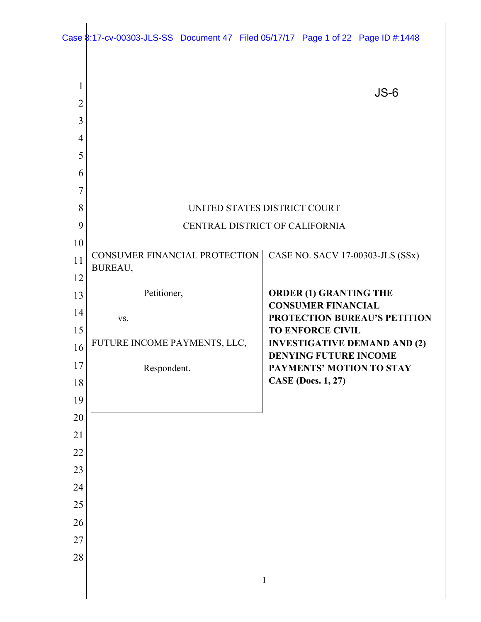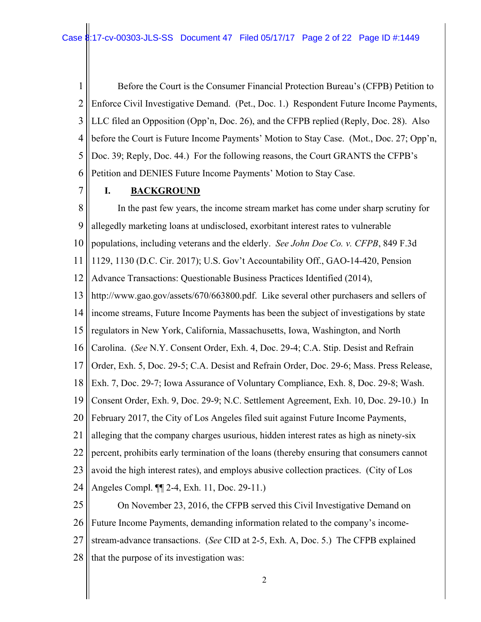1 2 3 4 5 6 Before the Court is the Consumer Financial Protection Bureau's (CFPB) Petition to Enforce Civil Investigative Demand. (Pet., Doc. 1.) Respondent Future Income Payments, LLC filed an Opposition (Opp'n, Doc. 26), and the CFPB replied (Reply, Doc. 28). Also before the Court is Future Income Payments' Motion to Stay Case. (Mot., Doc. 27; Opp'n, Doc. 39; Reply, Doc. 44.) For the following reasons, the Court GRANTS the CFPB's Petition and DENIES Future Income Payments' Motion to Stay Case.

7

# **I. BACKGROUND**

8 9 10 11 12 13 14 15 16 17 18 19 20 21 22 23 24 25 In the past few years, the income stream market has come under sharp scrutiny for allegedly marketing loans at undisclosed, exorbitant interest rates to vulnerable populations, including veterans and the elderly. *See John Doe Co. v. CFPB*, 849 F.3d 1129, 1130 (D.C. Cir. 2017); U.S. Gov't Accountability Off., GAO-14-420, Pension Advance Transactions: Questionable Business Practices Identified (2014), http://www.gao.gov/assets/670/663800.pdf. Like several other purchasers and sellers of income streams, Future Income Payments has been the subject of investigations by state regulators in New York, California, Massachusetts, Iowa, Washington, and North Carolina. (*See* N.Y. Consent Order, Exh. 4, Doc. 29-4; C.A. Stip. Desist and Refrain Order, Exh. 5, Doc. 29-5; C.A. Desist and Refrain Order, Doc. 29-6; Mass. Press Release, Exh. 7, Doc. 29-7; Iowa Assurance of Voluntary Compliance, Exh. 8, Doc. 29-8; Wash. Consent Order, Exh. 9, Doc. 29-9; N.C. Settlement Agreement, Exh. 10, Doc. 29-10.) In February 2017, the City of Los Angeles filed suit against Future Income Payments, alleging that the company charges usurious, hidden interest rates as high as ninety-six percent, prohibits early termination of the loans (thereby ensuring that consumers cannot avoid the high interest rates), and employs abusive collection practices. (City of Los Angeles Compl. ¶¶ 2-4, Exh. 11, Doc. 29-11.) On November 23, 2016, the CFPB served this Civil Investigative Demand on

26 Future Income Payments, demanding information related to the company's income-

27 28 stream-advance transactions. (*See* CID at 2-5, Exh. A, Doc. 5.) The CFPB explained that the purpose of its investigation was: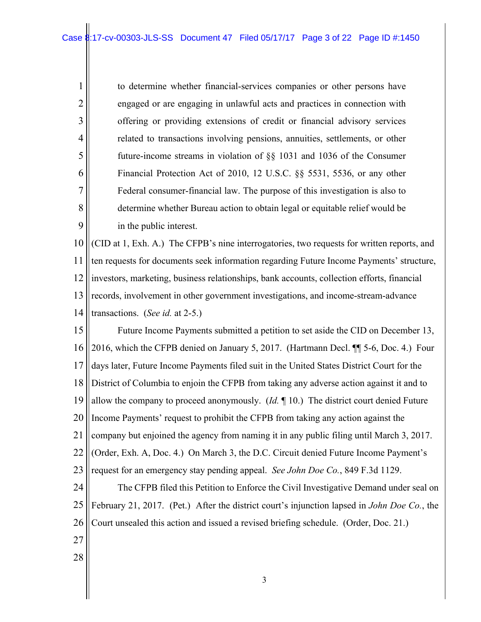to determine whether financial-services companies or other persons have engaged or are engaging in unlawful acts and practices in connection with offering or providing extensions of credit or financial advisory services related to transactions involving pensions, annuities, settlements, or other future-income streams in violation of §§ 1031 and 1036 of the Consumer Financial Protection Act of 2010, 12 U.S.C. §§ 5531, 5536, or any other Federal consumer-financial law. The purpose of this investigation is also to determine whether Bureau action to obtain legal or equitable relief would be in the public interest.

10 11 12 13 14 (CID at 1, Exh. A.) The CFPB's nine interrogatories, two requests for written reports, and ten requests for documents seek information regarding Future Income Payments' structure, investors, marketing, business relationships, bank accounts, collection efforts, financial records, involvement in other government investigations, and income-stream-advance transactions. (*See id.* at 2-5.)

15 16 17 18 19 20 21 22 23 24 25 26 Future Income Payments submitted a petition to set aside the CID on December 13, 2016, which the CFPB denied on January 5, 2017. (Hartmann Decl. ¶¶ 5-6, Doc. 4.) Four days later, Future Income Payments filed suit in the United States District Court for the District of Columbia to enjoin the CFPB from taking any adverse action against it and to allow the company to proceed anonymously. (*Id.* ¶ 10.) The district court denied Future Income Payments' request to prohibit the CFPB from taking any action against the company but enjoined the agency from naming it in any public filing until March 3, 2017. (Order, Exh. A, Doc. 4.) On March 3, the D.C. Circuit denied Future Income Payment's request for an emergency stay pending appeal. *See John Doe Co.*, 849 F.3d 1129. The CFPB filed this Petition to Enforce the Civil Investigative Demand under seal on February 21, 2017. (Pet.) After the district court's injunction lapsed in *John Doe Co.*, the Court unsealed this action and issued a revised briefing schedule. (Order, Doc. 21.)

27

1

2

3

4

5

6

7

8

9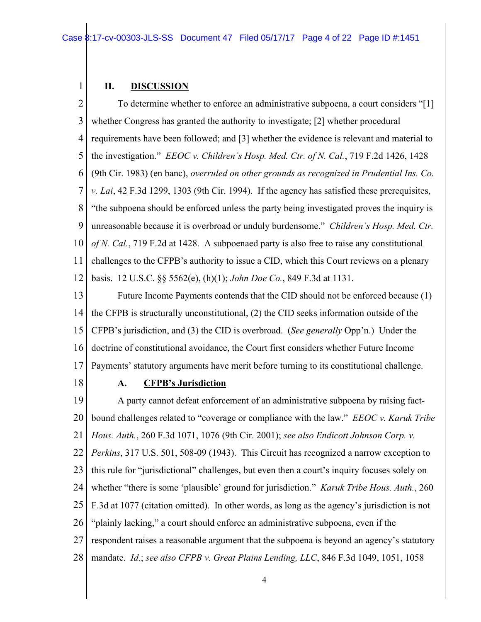### **II. DISCUSSION**

1

2 3 4 5 6 7 8 9 10 11 12 To determine whether to enforce an administrative subpoena, a court considers "[1] whether Congress has granted the authority to investigate; [2] whether procedural requirements have been followed; and [3] whether the evidence is relevant and material to the investigation." *EEOC v. Children's Hosp. Med. Ctr. of N. Cal.*, 719 F.2d 1426, 1428 (9th Cir. 1983) (en banc), *overruled on other grounds as recognized in Prudential Ins. Co. v. Lai*, 42 F.3d 1299, 1303 (9th Cir. 1994). If the agency has satisfied these prerequisites, "the subpoena should be enforced unless the party being investigated proves the inquiry is unreasonable because it is overbroad or unduly burdensome." *Children's Hosp. Med. Ctr. of N. Cal.*, 719 F.2d at 1428. A subpoenaed party is also free to raise any constitutional challenges to the CFPB's authority to issue a CID, which this Court reviews on a plenary basis. 12 U.S.C. §§ 5562(e), (h)(1); *John Doe Co.*, 849 F.3d at 1131.

13 14 15 16 17 Future Income Payments contends that the CID should not be enforced because (1) the CFPB is structurally unconstitutional, (2) the CID seeks information outside of the CFPB's jurisdiction, and (3) the CID is overbroad. (*See generally* Opp'n.) Under the doctrine of constitutional avoidance, the Court first considers whether Future Income Payments' statutory arguments have merit before turning to its constitutional challenge.

18

#### **A. CFPB's Jurisdiction**

19 20 21 22 23 24 25 26 27 28 A party cannot defeat enforcement of an administrative subpoena by raising factbound challenges related to "coverage or compliance with the law." *EEOC v. Karuk Tribe Hous. Auth.*, 260 F.3d 1071, 1076 (9th Cir. 2001); *see also Endicott Johnson Corp. v. Perkins*, 317 U.S. 501, 508-09 (1943). This Circuit has recognized a narrow exception to this rule for "jurisdictional" challenges, but even then a court's inquiry focuses solely on whether "there is some 'plausible' ground for jurisdiction." *Karuk Tribe Hous. Auth.*, 260 F.3d at 1077 (citation omitted). In other words, as long as the agency's jurisdiction is not "plainly lacking," a court should enforce an administrative subpoena, even if the respondent raises a reasonable argument that the subpoena is beyond an agency's statutory mandate. *Id.*; *see also CFPB v. Great Plains Lending, LLC*, 846 F.3d 1049, 1051, 1058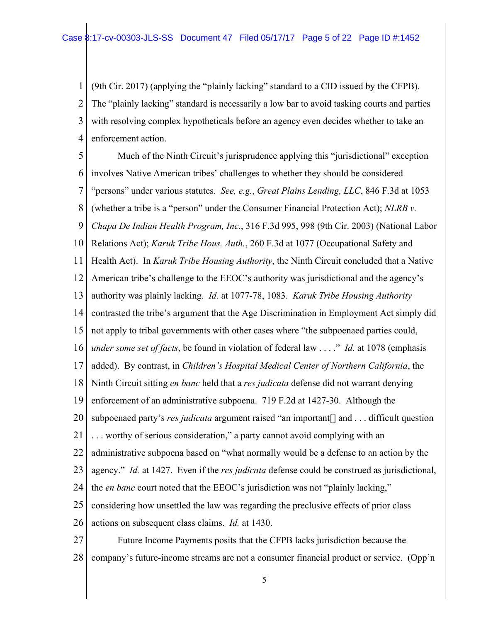1 2 3 4 (9th Cir. 2017) (applying the "plainly lacking" standard to a CID issued by the CFPB). The "plainly lacking" standard is necessarily a low bar to avoid tasking courts and parties with resolving complex hypotheticals before an agency even decides whether to take an enforcement action.

5 6 7 8 9 10 11 12 13 14 15 16 17 18 19 20 21 22 23 24 25 26 27 Much of the Ninth Circuit's jurisprudence applying this "jurisdictional" exception involves Native American tribes' challenges to whether they should be considered "persons" under various statutes. *See, e.g.*, *Great Plains Lending, LLC*, 846 F.3d at 1053 (whether a tribe is a "person" under the Consumer Financial Protection Act); *NLRB v. Chapa De Indian Health Program, Inc.*, 316 F.3d 995, 998 (9th Cir. 2003) (National Labor Relations Act); *Karuk Tribe Hous. Auth.*, 260 F.3d at 1077 (Occupational Safety and Health Act). In *Karuk Tribe Housing Authority*, the Ninth Circuit concluded that a Native American tribe's challenge to the EEOC's authority was jurisdictional and the agency's authority was plainly lacking. *Id.* at 1077-78, 1083. *Karuk Tribe Housing Authority* contrasted the tribe's argument that the Age Discrimination in Employment Act simply did not apply to tribal governments with other cases where "the subpoenaed parties could, *under some set of facts*, be found in violation of federal law . . . ." *Id.* at 1078 (emphasis added). By contrast, in *Children's Hospital Medical Center of Northern California*, the Ninth Circuit sitting *en banc* held that a *res judicata* defense did not warrant denying enforcement of an administrative subpoena. 719 F.2d at 1427-30. Although the subpoenaed party's *res judicata* argument raised "an important[] and . . . difficult question . . . worthy of serious consideration," a party cannot avoid complying with an administrative subpoena based on "what normally would be a defense to an action by the agency." *Id.* at 1427. Even if the *res judicata* defense could be construed as jurisdictional, the *en banc* court noted that the EEOC's jurisdiction was not "plainly lacking," considering how unsettled the law was regarding the preclusive effects of prior class actions on subsequent class claims. *Id.* at 1430. Future Income Payments posits that the CFPB lacks jurisdiction because the

28 company's future-income streams are not a consumer financial product or service. (Opp'n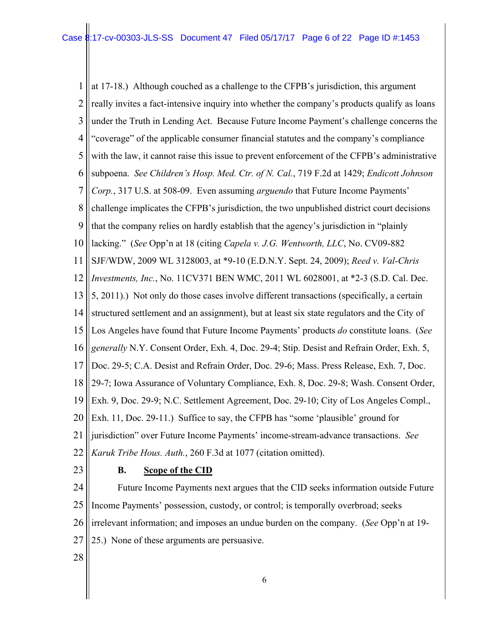1 2 3 4 5 6 7 8 9 10 11 12 13 14 15 16 17 18 19 20 21 22 at 17-18.) Although couched as a challenge to the CFPB's jurisdiction, this argument really invites a fact-intensive inquiry into whether the company's products qualify as loans under the Truth in Lending Act. Because Future Income Payment's challenge concerns the "coverage" of the applicable consumer financial statutes and the company's compliance with the law, it cannot raise this issue to prevent enforcement of the CFPB's administrative subpoena. *See Children's Hosp. Med. Ctr. of N. Cal.*, 719 F.2d at 1429; *Endicott Johnson Corp.*, 317 U.S. at 508-09. Even assuming *arguendo* that Future Income Payments' challenge implicates the CFPB's jurisdiction, the two unpublished district court decisions that the company relies on hardly establish that the agency's jurisdiction in "plainly lacking." (*See* Opp'n at 18 (citing *Capela v. J.G. Wentworth, LLC*, No. CV09-882 SJF/WDW, 2009 WL 3128003, at \*9-10 (E.D.N.Y. Sept. 24, 2009); *Reed v. Val-Chris Investments, Inc.*, No. 11CV371 BEN WMC, 2011 WL 6028001, at \*2-3 (S.D. Cal. Dec. 5, 2011).) Not only do those cases involve different transactions (specifically, a certain structured settlement and an assignment), but at least six state regulators and the City of Los Angeles have found that Future Income Payments' products *do* constitute loans. (*See generally* N.Y. Consent Order, Exh. 4, Doc. 29-4; Stip. Desist and Refrain Order, Exh. 5, Doc. 29-5; C.A. Desist and Refrain Order, Doc. 29-6; Mass. Press Release, Exh. 7, Doc. 29-7; Iowa Assurance of Voluntary Compliance, Exh. 8, Doc. 29-8; Wash. Consent Order, Exh. 9, Doc. 29-9; N.C. Settlement Agreement, Doc. 29-10; City of Los Angeles Compl., Exh. 11, Doc. 29-11.) Suffice to say, the CFPB has "some 'plausible' ground for jurisdiction" over Future Income Payments' income-stream-advance transactions. *See Karuk Tribe Hous. Auth.*, 260 F.3d at 1077 (citation omitted).

23

# **B. Scope of the CID**

24 25 26 27 Future Income Payments next argues that the CID seeks information outside Future Income Payments' possession, custody, or control; is temporally overbroad; seeks irrelevant information; and imposes an undue burden on the company. (*See* Opp'n at 19- 25.) None of these arguments are persuasive.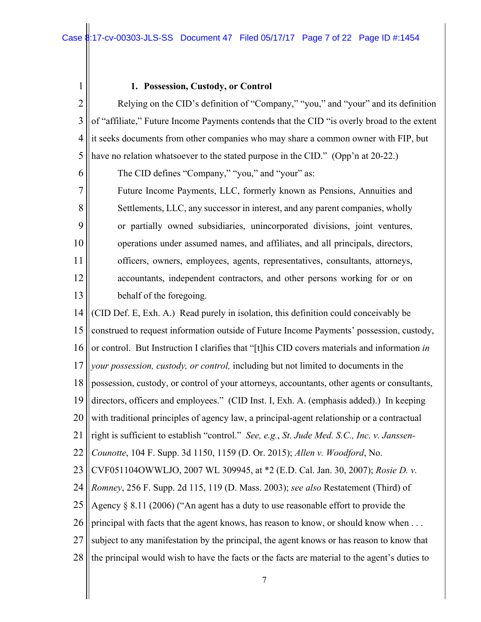## **1. Possession, Custody, or Control**

1

6

7

8

9

10

11

12

13

2 3 4 5 Relying on the CID's definition of "Company," "you," and "your" and its definition of "affiliate," Future Income Payments contends that the CID "is overly broad to the extent it seeks documents from other companies who may share a common owner with FIP, but have no relation whatsoever to the stated purpose in the CID." (Opp'n at 20-22.)

The CID defines "Company," "you," and "your" as:

Future Income Payments, LLC, formerly known as Pensions, Annuities and Settlements, LLC, any successor in interest, and any parent companies, wholly or partially owned subsidiaries, unincorporated divisions, joint ventures, operations under assumed names, and affiliates, and all principals, directors, officers, owners, employees, agents, representatives, consultants, attorneys, accountants, independent contractors, and other persons working for or on behalf of the foregoing.

14 15 16 17 18 19 20 21 22 23 24 25 26 27 28 (CID Def. E, Exh. A.) Read purely in isolation, this definition could conceivably be construed to request information outside of Future Income Payments' possession, custody, or control. But Instruction I clarifies that "[t]his CID covers materials and information *in your possession, custody, or control,* including but not limited to documents in the possession, custody, or control of your attorneys, accountants, other agents or consultants, directors, officers and employees." (CID Inst. I, Exh. A. (emphasis added).) In keeping with traditional principles of agency law, a principal-agent relationship or a contractual right is sufficient to establish "control." *See, e.g.*, *St. Jude Med. S.C., Inc. v. Janssen-Counotte*, 104 F. Supp. 3d 1150, 1159 (D. Or. 2015); *Allen v. Woodford*, No. CVF051104OWWLJO, 2007 WL 309945, at \*2 (E.D. Cal. Jan. 30, 2007); *Rosie D. v. Romney*, 256 F. Supp. 2d 115, 119 (D. Mass. 2003); *see also* Restatement (Third) of Agency § 8.11 (2006) ("An agent has a duty to use reasonable effort to provide the principal with facts that the agent knows, has reason to know, or should know when . . . subject to any manifestation by the principal, the agent knows or has reason to know that the principal would wish to have the facts or the facts are material to the agent's duties to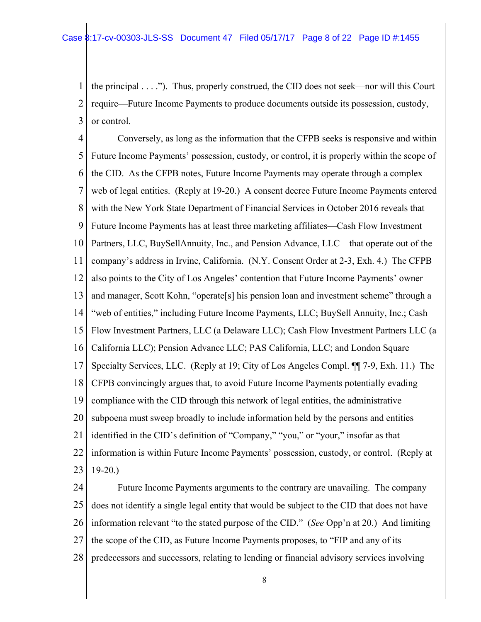1 2 3 the principal . . . ."). Thus, properly construed, the CID does not seek—nor will this Court require—Future Income Payments to produce documents outside its possession, custody, or control.

4 5 6 7 8 9 10 11 12 13 14 15 16 17 18 19 20 21 22 23 Conversely, as long as the information that the CFPB seeks is responsive and within Future Income Payments' possession, custody, or control, it is properly within the scope of the CID. As the CFPB notes, Future Income Payments may operate through a complex web of legal entities. (Reply at 19-20.) A consent decree Future Income Payments entered with the New York State Department of Financial Services in October 2016 reveals that Future Income Payments has at least three marketing affiliates—Cash Flow Investment Partners, LLC, BuySellAnnuity, Inc., and Pension Advance, LLC—that operate out of the company's address in Irvine, California. (N.Y. Consent Order at 2-3, Exh. 4.) The CFPB also points to the City of Los Angeles' contention that Future Income Payments' owner and manager, Scott Kohn, "operate[s] his pension loan and investment scheme" through a "web of entities," including Future Income Payments, LLC; BuySell Annuity, Inc.; Cash Flow Investment Partners, LLC (a Delaware LLC); Cash Flow Investment Partners LLC (a California LLC); Pension Advance LLC; PAS California, LLC; and London Square Specialty Services, LLC. (Reply at 19; City of Los Angeles Compl. ¶¶ 7-9, Exh. 11.) The CFPB convincingly argues that, to avoid Future Income Payments potentially evading compliance with the CID through this network of legal entities, the administrative subpoena must sweep broadly to include information held by the persons and entities identified in the CID's definition of "Company," "you," or "your," insofar as that information is within Future Income Payments' possession, custody, or control. (Reply at 19-20.)

24 25 26 27 28 Future Income Payments arguments to the contrary are unavailing. The company does not identify a single legal entity that would be subject to the CID that does not have information relevant "to the stated purpose of the CID." (*See* Opp'n at 20.) And limiting the scope of the CID, as Future Income Payments proposes, to "FIP and any of its predecessors and successors, relating to lending or financial advisory services involving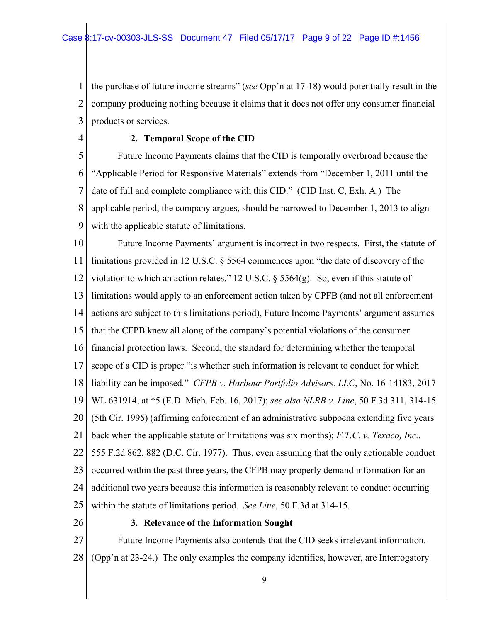1 2 3 the purchase of future income streams" (*see* Opp'n at 17-18) would potentially result in the company producing nothing because it claims that it does not offer any consumer financial products or services.

4

# **2. Temporal Scope of the CID**

5 6 7 8 9 Future Income Payments claims that the CID is temporally overbroad because the "Applicable Period for Responsive Materials" extends from "December 1, 2011 until the date of full and complete compliance with this CID." (CID Inst. C, Exh. A.) The applicable period, the company argues, should be narrowed to December 1, 2013 to align with the applicable statute of limitations.

10 11 12 13 14 15 16 17 18 19 20 21 22 23 24 25 Future Income Payments' argument is incorrect in two respects. First, the statute of limitations provided in 12 U.S.C. § 5564 commences upon "the date of discovery of the violation to which an action relates." 12 U.S.C. § 5564(g). So, even if this statute of limitations would apply to an enforcement action taken by CPFB (and not all enforcement actions are subject to this limitations period), Future Income Payments' argument assumes that the CFPB knew all along of the company's potential violations of the consumer financial protection laws. Second, the standard for determining whether the temporal scope of a CID is proper "is whether such information is relevant to conduct for which liability can be imposed*.*" *CFPB v. Harbour Portfolio Advisors, LLC*, No. 16-14183, 2017 WL 631914, at \*5 (E.D. Mich. Feb. 16, 2017); *see also NLRB v. Line*, 50 F.3d 311, 314-15 (5th Cir. 1995) (affirming enforcement of an administrative subpoena extending five years back when the applicable statute of limitations was six months); *F.T.C. v. Texaco, Inc.*, 555 F.2d 862, 882 (D.C. Cir. 1977). Thus, even assuming that the only actionable conduct occurred within the past three years, the CFPB may properly demand information for an additional two years because this information is reasonably relevant to conduct occurring within the statute of limitations period. *See Line*, 50 F.3d at 314-15.

26

#### **3. Relevance of the Information Sought**

27 28 Future Income Payments also contends that the CID seeks irrelevant information. (Opp'n at 23-24.) The only examples the company identifies, however, are Interrogatory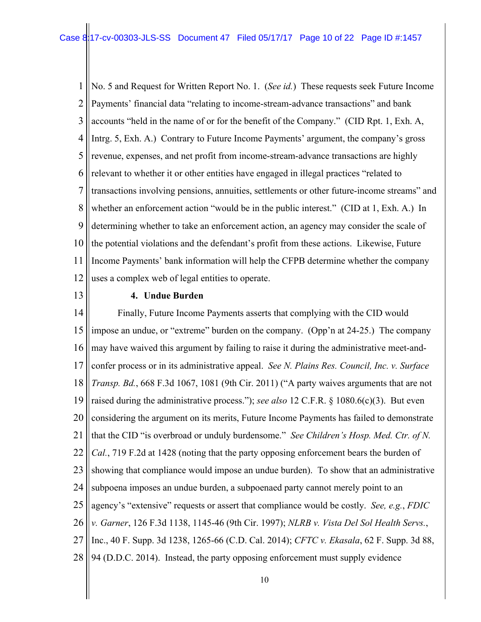1 2 3 4 5 6 7 8 9 10 11 12 No. 5 and Request for Written Report No. 1. (*See id.*) These requests seek Future Income Payments' financial data "relating to income-stream-advance transactions" and bank accounts "held in the name of or for the benefit of the Company." (CID Rpt. 1, Exh. A, Intrg. 5, Exh. A.) Contrary to Future Income Payments' argument, the company's gross revenue, expenses, and net profit from income-stream-advance transactions are highly relevant to whether it or other entities have engaged in illegal practices "related to transactions involving pensions, annuities, settlements or other future-income streams" and whether an enforcement action "would be in the public interest." (CID at 1, Exh. A.) In determining whether to take an enforcement action, an agency may consider the scale of the potential violations and the defendant's profit from these actions. Likewise, Future Income Payments' bank information will help the CFPB determine whether the company uses a complex web of legal entities to operate.

13

#### **4. Undue Burden**

14 15 16 17 18 19 20 21 22 23 24 25 26 27 28 Finally, Future Income Payments asserts that complying with the CID would impose an undue, or "extreme" burden on the company. (Opp'n at 24-25.) The company may have waived this argument by failing to raise it during the administrative meet-andconfer process or in its administrative appeal. *See N. Plains Res. Council, Inc. v. Surface Transp. Bd.*, 668 F.3d 1067, 1081 (9th Cir. 2011) ("A party waives arguments that are not raised during the administrative process."); *see also* 12 C.F.R. § 1080.6(c)(3). But even considering the argument on its merits, Future Income Payments has failed to demonstrate that the CID "is overbroad or unduly burdensome." *See Children's Hosp. Med. Ctr. of N. Cal.*, 719 F.2d at 1428 (noting that the party opposing enforcement bears the burden of showing that compliance would impose an undue burden). To show that an administrative subpoena imposes an undue burden, a subpoenaed party cannot merely point to an agency's "extensive" requests or assert that compliance would be costly. *See, e.g.*, *FDIC v. Garner*, 126 F.3d 1138, 1145-46 (9th Cir. 1997); *NLRB v. Vista Del Sol Health Servs.*, Inc., 40 F. Supp. 3d 1238, 1265-66 (C.D. Cal. 2014); *CFTC v. Ekasala*, 62 F. Supp. 3d 88, 94 (D.D.C. 2014). Instead, the party opposing enforcement must supply evidence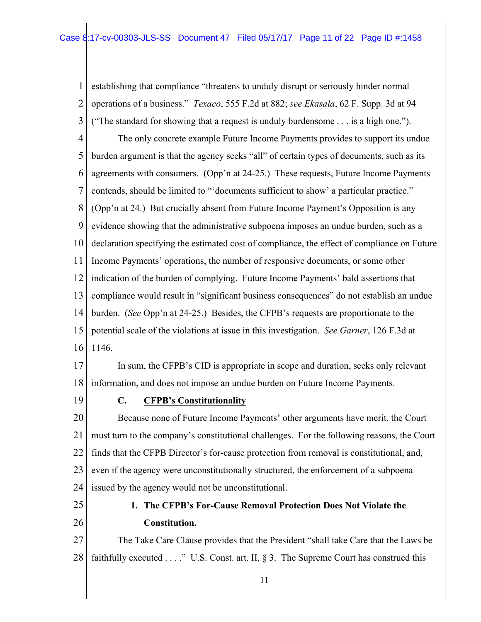1 2 3 4 5 6 7 8 9 10 11 12 13 14 15 16 establishing that compliance "threatens to unduly disrupt or seriously hinder normal operations of a business." *Texaco*, 555 F.2d at 882; *see Ekasala*, 62 F. Supp. 3d at 94 ("The standard for showing that a request is unduly burdensome . . . is a high one."). The only concrete example Future Income Payments provides to support its undue burden argument is that the agency seeks "all" of certain types of documents, such as its agreements with consumers. (Opp'n at 24-25.) These requests, Future Income Payments contends, should be limited to "'documents sufficient to show' a particular practice." (Opp'n at 24.) But crucially absent from Future Income Payment's Opposition is any evidence showing that the administrative subpoena imposes an undue burden, such as a declaration specifying the estimated cost of compliance, the effect of compliance on Future Income Payments' operations, the number of responsive documents, or some other indication of the burden of complying. Future Income Payments' bald assertions that compliance would result in "significant business consequences" do not establish an undue burden. (*See* Opp'n at 24-25.) Besides, the CFPB's requests are proportionate to the potential scale of the violations at issue in this investigation. *See Garner*, 126 F.3d at 1146.

17 18 In sum, the CFPB's CID is appropriate in scope and duration, seeks only relevant information, and does not impose an undue burden on Future Income Payments.

19

# **C. CFPB's Constitutionality**

20 21 22 23 24 Because none of Future Income Payments' other arguments have merit, the Court must turn to the company's constitutional challenges. For the following reasons, the Court finds that the CFPB Director's for-cause protection from removal is constitutional, and, even if the agency were unconstitutionally structured, the enforcement of a subpoena issued by the agency would not be unconstitutional.

25 26

# **1. The CFPB's For-Cause Removal Protection Does Not Violate the Constitution.**

27 28 The Take Care Clause provides that the President "shall take Care that the Laws be faithfully executed . . . ." U.S. Const. art. II, § 3. The Supreme Court has construed this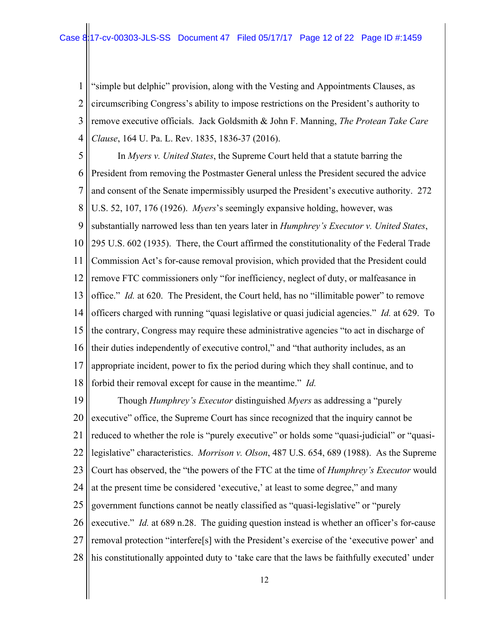1 2 3 4 "simple but delphic" provision, along with the Vesting and Appointments Clauses, as circumscribing Congress's ability to impose restrictions on the President's authority to remove executive officials. Jack Goldsmith & John F. Manning, *The Protean Take Care Clause*, 164 U. Pa. L. Rev. 1835, 1836-37 (2016).

5 6 7 8 9 10 11 12 13 14 15 16 17 18 In *Myers v. United States*, the Supreme Court held that a statute barring the President from removing the Postmaster General unless the President secured the advice and consent of the Senate impermissibly usurped the President's executive authority. 272 U.S. 52, 107, 176 (1926). *Myers*'s seemingly expansive holding, however, was substantially narrowed less than ten years later in *Humphrey's Executor v. United States*, 295 U.S. 602 (1935). There, the Court affirmed the constitutionality of the Federal Trade Commission Act's for-cause removal provision, which provided that the President could remove FTC commissioners only "for inefficiency, neglect of duty, or malfeasance in office." *Id.* at 620. The President, the Court held, has no "illimitable power" to remove officers charged with running "quasi legislative or quasi judicial agencies." *Id.* at 629. To the contrary, Congress may require these administrative agencies "to act in discharge of their duties independently of executive control," and "that authority includes, as an appropriate incident, power to fix the period during which they shall continue, and to forbid their removal except for cause in the meantime." *Id.*

19 20 21 22 23 24 25 26 27 28 Though *Humphrey's Executor* distinguished *Myers* as addressing a "purely executive" office, the Supreme Court has since recognized that the inquiry cannot be reduced to whether the role is "purely executive" or holds some "quasi-judicial" or "quasilegislative" characteristics. *Morrison v. Olson*, 487 U.S. 654, 689 (1988). As the Supreme Court has observed, the "the powers of the FTC at the time of *Humphrey's Executor* would at the present time be considered 'executive,' at least to some degree," and many government functions cannot be neatly classified as "quasi-legislative" or "purely executive." *Id.* at 689 n.28. The guiding question instead is whether an officer's for-cause removal protection "interfere[s] with the President's exercise of the 'executive power' and his constitutionally appointed duty to 'take care that the laws be faithfully executed' under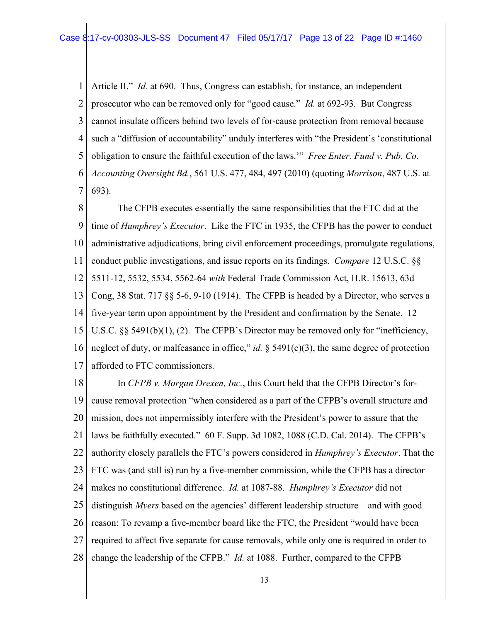1 2 3 4 5 6 7 Article II." *Id.* at 690. Thus, Congress can establish, for instance, an independent prosecutor who can be removed only for "good cause." *Id.* at 692-93. But Congress cannot insulate officers behind two levels of for-cause protection from removal because such a "diffusion of accountability" unduly interferes with "the President's 'constitutional obligation to ensure the faithful execution of the laws.'" *Free Enter. Fund v. Pub. Co. Accounting Oversight Bd.*, 561 U.S. 477, 484, 497 (2010) (quoting *Morrison*, 487 U.S. at 693).

8 9 10 11 12 13 14 15 16 17 The CFPB executes essentially the same responsibilities that the FTC did at the time of *Humphrey's Executor*. Like the FTC in 1935, the CFPB has the power to conduct administrative adjudications, bring civil enforcement proceedings, promulgate regulations, conduct public investigations, and issue reports on its findings. *Compare* 12 U.S.C. §§ 5511-12, 5532, 5534, 5562-64 *with* Federal Trade Commission Act, H.R. 15613, 63d Cong, 38 Stat. 717 §§ 5-6, 9-10 (1914). The CFPB is headed by a Director, who serves a five-year term upon appointment by the President and confirmation by the Senate. 12 U.S.C. §§ 5491(b)(1), (2). The CFPB's Director may be removed only for "inefficiency, neglect of duty, or malfeasance in office," *id.*  $\S$  5491(c)(3), the same degree of protection afforded to FTC commissioners.

18 19 20 21 22 23 24 25 26 27 28 In *CFPB v. Morgan Drexen, Inc.*, this Court held that the CFPB Director's forcause removal protection "when considered as a part of the CFPB's overall structure and mission, does not impermissibly interfere with the President's power to assure that the laws be faithfully executed." 60 F. Supp. 3d 1082, 1088 (C.D. Cal. 2014). The CFPB's authority closely parallels the FTC's powers considered in *Humphrey's Executor*. That the FTC was (and still is) run by a five-member commission, while the CFPB has a director makes no constitutional difference. *Id.* at 1087-88. *Humphrey's Executor* did not distinguish *Myers* based on the agencies' different leadership structure—and with good reason: To revamp a five-member board like the FTC, the President "would have been required to affect five separate for cause removals, while only one is required in order to change the leadership of the CFPB." *Id.* at 1088. Further, compared to the CFPB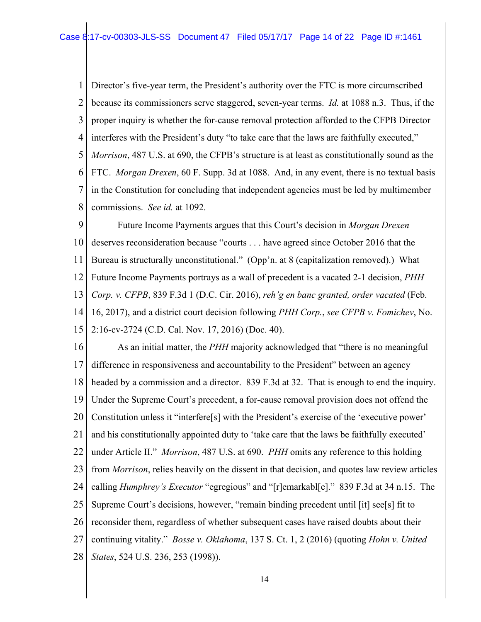1 2 3 4 5 6 7 8 Director's five-year term, the President's authority over the FTC is more circumscribed because its commissioners serve staggered, seven-year terms. *Id.* at 1088 n.3. Thus, if the proper inquiry is whether the for-cause removal protection afforded to the CFPB Director interferes with the President's duty "to take care that the laws are faithfully executed," *Morrison*, 487 U.S. at 690, the CFPB's structure is at least as constitutionally sound as the FTC. *Morgan Drexen*, 60 F. Supp. 3d at 1088. And, in any event, there is no textual basis in the Constitution for concluding that independent agencies must be led by multimember commissions. *See id.* at 1092.

9 10 11 12 13 14 15 Future Income Payments argues that this Court's decision in *Morgan Drexen*  deserves reconsideration because "courts . . . have agreed since October 2016 that the Bureau is structurally unconstitutional." (Opp'n. at 8 (capitalization removed).) What Future Income Payments portrays as a wall of precedent is a vacated 2-1 decision, *PHH Corp. v. CFPB*, 839 F.3d 1 (D.C. Cir. 2016), *reh'g en banc granted, order vacated* (Feb. 16, 2017), and a district court decision following *PHH Corp.*, *see CFPB v. Fomichev*, No. 2:16-cv-2724 (C.D. Cal. Nov. 17, 2016) (Doc. 40).

16 17 18 19 20 21 22 23 24 25 26 27 28 As an initial matter, the *PHH* majority acknowledged that "there is no meaningful difference in responsiveness and accountability to the President" between an agency headed by a commission and a director. 839 F.3d at 32. That is enough to end the inquiry. Under the Supreme Court's precedent, a for-cause removal provision does not offend the Constitution unless it "interfere[s] with the President's exercise of the 'executive power' and his constitutionally appointed duty to 'take care that the laws be faithfully executed' under Article II." *Morrison*, 487 U.S. at 690. *PHH* omits any reference to this holding from *Morrison*, relies heavily on the dissent in that decision, and quotes law review articles calling *Humphrey's Executor* "egregious" and "[r]emarkabl[e]." 839 F.3d at 34 n.15. The Supreme Court's decisions, however, "remain binding precedent until [it] see[s] fit to reconsider them, regardless of whether subsequent cases have raised doubts about their continuing vitality." *Bosse v. Oklahoma*, 137 S. Ct. 1, 2 (2016) (quoting *Hohn v. United States*, 524 U.S. 236, 253 (1998)).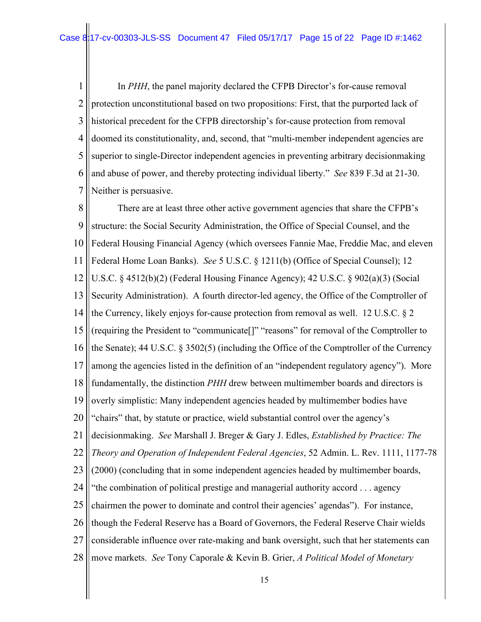1 2 3 4 5 6 7 In *PHH*, the panel majority declared the CFPB Director's for-cause removal protection unconstitutional based on two propositions: First, that the purported lack of historical precedent for the CFPB directorship's for-cause protection from removal doomed its constitutionality, and, second, that "multi-member independent agencies are superior to single-Director independent agencies in preventing arbitrary decisionmaking and abuse of power, and thereby protecting individual liberty." *See* 839 F.3d at 21-30. Neither is persuasive.

8 9 10 11 12 13 14 15 16 17 18 19 20 21 22 23 24 25 26 27 28 There are at least three other active government agencies that share the CFPB's structure: the Social Security Administration, the Office of Special Counsel, and the Federal Housing Financial Agency (which oversees Fannie Mae, Freddie Mac, and eleven Federal Home Loan Banks). *See* 5 U.S.C. § 1211(b) (Office of Special Counsel); 12 U.S.C. § 4512(b)(2) (Federal Housing Finance Agency); 42 U.S.C. § 902(a)(3) (Social Security Administration). A fourth director-led agency, the Office of the Comptroller of the Currency, likely enjoys for-cause protection from removal as well. 12 U.S.C. § 2 (requiring the President to "communicate[]" "reasons" for removal of the Comptroller to the Senate); 44 U.S.C. § 3502(5) (including the Office of the Comptroller of the Currency among the agencies listed in the definition of an "independent regulatory agency"). More fundamentally, the distinction *PHH* drew between multimember boards and directors is overly simplistic: Many independent agencies headed by multimember bodies have "chairs" that, by statute or practice, wield substantial control over the agency's decisionmaking. *See* Marshall J. Breger & Gary J. Edles, *Established by Practice: The Theory and Operation of Independent Federal Agencies*, 52 Admin. L. Rev. 1111, 1177-78 (2000) (concluding that in some independent agencies headed by multimember boards, "the combination of political prestige and managerial authority accord . . . agency chairmen the power to dominate and control their agencies' agendas"). For instance, though the Federal Reserve has a Board of Governors, the Federal Reserve Chair wields considerable influence over rate-making and bank oversight, such that her statements can move markets. *See* Tony Caporale & Kevin B. Grier, *A Political Model of Monetary*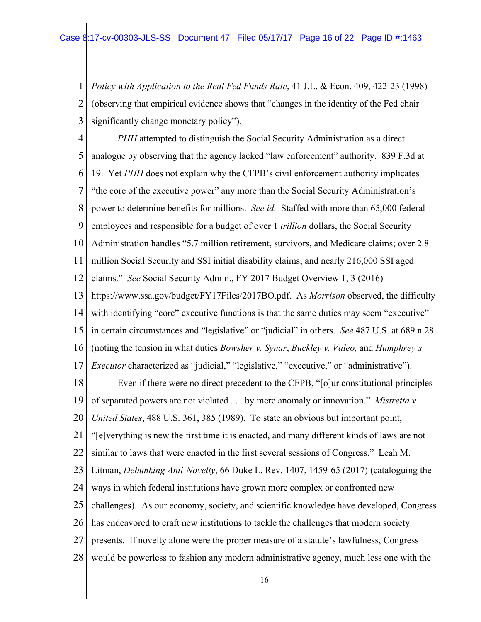1 2 3 *Policy with Application to the Real Fed Funds Rate*, 41 J.L. & Econ. 409, 422-23 (1998) (observing that empirical evidence shows that "changes in the identity of the Fed chair significantly change monetary policy").

4 5 6 7 8 9 10 11 12 13 14 15 16 17 18 19 20 21 22 23 24 25 26 27 28 *PHH* attempted to distinguish the Social Security Administration as a direct analogue by observing that the agency lacked "law enforcement" authority. 839 F.3d at 19. Yet *PHH* does not explain why the CFPB's civil enforcement authority implicates "the core of the executive power" any more than the Social Security Administration's power to determine benefits for millions. *See id.* Staffed with more than 65,000 federal employees and responsible for a budget of over 1 *trillion* dollars, the Social Security Administration handles "5.7 million retirement, survivors, and Medicare claims; over 2.8 million Social Security and SSI initial disability claims; and nearly 216,000 SSI aged claims." *See* Social Security Admin., FY 2017 Budget Overview 1, 3 (2016) https://www.ssa.gov/budget/FY17Files/2017BO.pdf. As *Morrison* observed, the difficulty with identifying "core" executive functions is that the same duties may seem "executive" in certain circumstances and "legislative" or "judicial" in others. *See* 487 U.S. at 689 n.28 (noting the tension in what duties *Bowsher v. Synar*, *Buckley v. Valeo,* and *Humphrey's Executor* characterized as "judicial," "legislative," "executive," or "administrative"). Even if there were no direct precedent to the CFPB, "[o]ur constitutional principles of separated powers are not violated . . . by mere anomaly or innovation." *Mistretta v. United States*, 488 U.S. 361, 385 (1989). To state an obvious but important point, "[e]verything is new the first time it is enacted, and many different kinds of laws are not similar to laws that were enacted in the first several sessions of Congress." Leah M. Litman, *Debunking Anti-Novelty*, 66 Duke L. Rev. 1407, 1459-65 (2017) (cataloguing the ways in which federal institutions have grown more complex or confronted new challenges). As our economy, society, and scientific knowledge have developed, Congress has endeavored to craft new institutions to tackle the challenges that modern society presents. If novelty alone were the proper measure of a statute's lawfulness, Congress would be powerless to fashion any modern administrative agency, much less one with the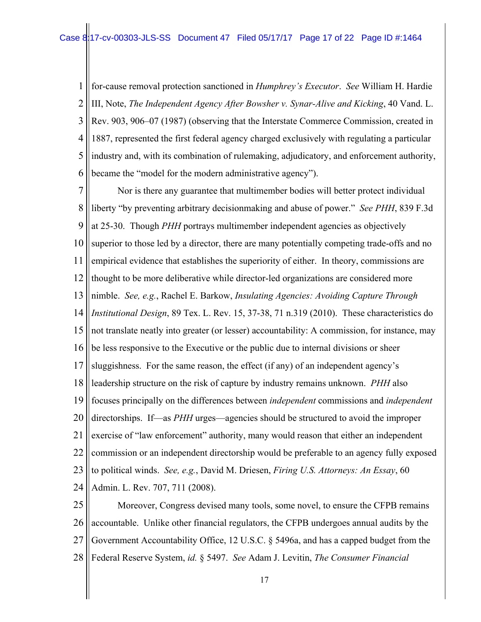1 2 3 4 5 6 for-cause removal protection sanctioned in *Humphrey's Executor*. *See* William H. Hardie III, Note, *The Independent Agency After Bowsher v. Synar-Alive and Kicking*, 40 Vand. L. Rev. 903, 906–07 (1987) (observing that the Interstate Commerce Commission, created in 1887, represented the first federal agency charged exclusively with regulating a particular industry and, with its combination of rulemaking, adjudicatory, and enforcement authority, became the "model for the modern administrative agency").

7 8 9 10 11 12 13 14 15 16 17 18 19 20 21 22 23 24 Nor is there any guarantee that multimember bodies will better protect individual liberty "by preventing arbitrary decisionmaking and abuse of power." *See PHH*, 839 F.3d at 25-30. Though *PHH* portrays multimember independent agencies as objectively superior to those led by a director, there are many potentially competing trade-offs and no empirical evidence that establishes the superiority of either. In theory, commissions are thought to be more deliberative while director-led organizations are considered more nimble. *See, e.g.*, Rachel E. Barkow, *Insulating Agencies: Avoiding Capture Through Institutional Design*, 89 Tex. L. Rev. 15, 37-38, 71 n.319 (2010). These characteristics do not translate neatly into greater (or lesser) accountability: A commission, for instance, may be less responsive to the Executive or the public due to internal divisions or sheer sluggishness. For the same reason, the effect (if any) of an independent agency's leadership structure on the risk of capture by industry remains unknown. *PHH* also focuses principally on the differences between *independent* commissions and *independent*  directorships. If—as *PHH* urges—agencies should be structured to avoid the improper exercise of "law enforcement" authority, many would reason that either an independent commission or an independent directorship would be preferable to an agency fully exposed to political winds. *See, e.g.*, David M. Driesen, *Firing U.S. Attorneys: An Essay*, 60 Admin. L. Rev. 707, 711 (2008).

25 26 27 28 Moreover, Congress devised many tools, some novel, to ensure the CFPB remains accountable. Unlike other financial regulators, the CFPB undergoes annual audits by the Government Accountability Office, 12 U.S.C. § 5496a, and has a capped budget from the Federal Reserve System, *id.* § 5497. *See* Adam J. Levitin, *The Consumer Financial*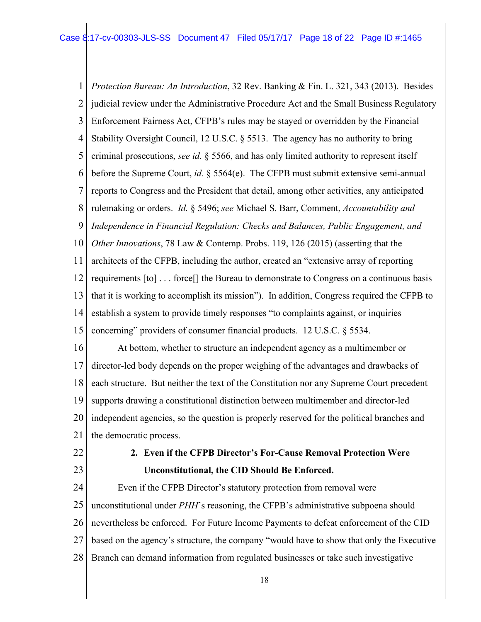1 2 3 4 5 6 7 8 9 10 11 12 13 14 15 16 17 18 19 20 21 22 *Protection Bureau: An Introduction*, 32 Rev. Banking & Fin. L. 321, 343 (2013). Besides judicial review under the Administrative Procedure Act and the Small Business Regulatory Enforcement Fairness Act, CFPB's rules may be stayed or overridden by the Financial Stability Oversight Council, 12 U.S.C. § 5513. The agency has no authority to bring criminal prosecutions, *see id.* § 5566, and has only limited authority to represent itself before the Supreme Court, *id.* § 5564(e). The CFPB must submit extensive semi-annual reports to Congress and the President that detail, among other activities, any anticipated rulemaking or orders. *Id.* § 5496; *see* Michael S. Barr, Comment, *Accountability and Independence in Financial Regulation: Checks and Balances, Public Engagement, and Other Innovations*, 78 Law & Contemp. Probs. 119, 126 (2015) (asserting that the architects of the CFPB, including the author, created an "extensive array of reporting requirements [to] . . . force[] the Bureau to demonstrate to Congress on a continuous basis that it is working to accomplish its mission"). In addition, Congress required the CFPB to establish a system to provide timely responses "to complaints against, or inquiries concerning" providers of consumer financial products. 12 U.S.C. § 5534. At bottom, whether to structure an independent agency as a multimember or director-led body depends on the proper weighing of the advantages and drawbacks of each structure. But neither the text of the Constitution nor any Supreme Court precedent supports drawing a constitutional distinction between multimember and director-led independent agencies, so the question is properly reserved for the political branches and the democratic process. **2. Even if the CFPB Director's For-Cause Removal Protection Were** 

23

# **Unconstitutional, the CID Should Be Enforced.**

24 25 26 27 28 Even if the CFPB Director's statutory protection from removal were unconstitutional under *PHH*'s reasoning, the CFPB's administrative subpoena should nevertheless be enforced. For Future Income Payments to defeat enforcement of the CID based on the agency's structure, the company "would have to show that only the Executive Branch can demand information from regulated businesses or take such investigative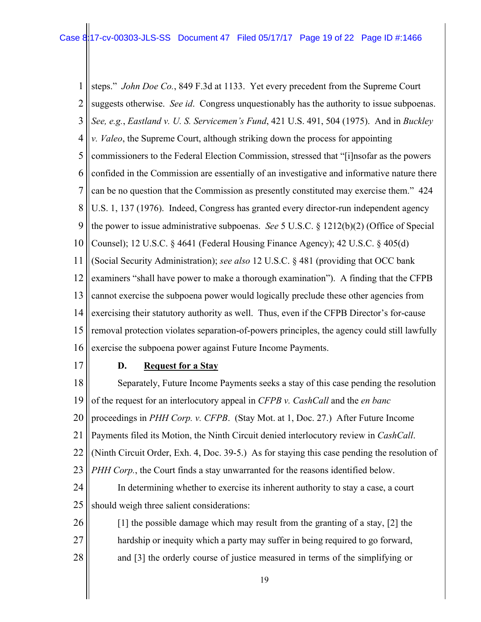1 2 3 4 5 6 7 8 9 10 11 12 13 14 15 16 steps." *John Doe Co.*, 849 F.3d at 1133. Yet every precedent from the Supreme Court suggests otherwise. *See id*. Congress unquestionably has the authority to issue subpoenas. *See, e.g.*, *Eastland v. U. S. Servicemen's Fund*, 421 U.S. 491, 504 (1975). And in *Buckley v. Valeo*, the Supreme Court, although striking down the process for appointing commissioners to the Federal Election Commission, stressed that "[i]nsofar as the powers confided in the Commission are essentially of an investigative and informative nature there can be no question that the Commission as presently constituted may exercise them." 424 U.S. 1, 137 (1976). Indeed, Congress has granted every director-run independent agency the power to issue administrative subpoenas. *See* 5 U.S.C. § 1212(b)(2) (Office of Special Counsel); 12 U.S.C. § 4641 (Federal Housing Finance Agency); 42 U.S.C. § 405(d) (Social Security Administration); *see also* 12 U.S.C. § 481 (providing that OCC bank examiners "shall have power to make a thorough examination"). A finding that the CFPB cannot exercise the subpoena power would logically preclude these other agencies from exercising their statutory authority as well. Thus, even if the CFPB Director's for-cause removal protection violates separation-of-powers principles, the agency could still lawfully exercise the subpoena power against Future Income Payments.

17

# **D. Request for a Stay**

18 19 20 21 22 23 Separately, Future Income Payments seeks a stay of this case pending the resolution of the request for an interlocutory appeal in *CFPB v. CashCall* and the *en banc* proceedings in *PHH Corp. v. CFPB*. (Stay Mot. at 1, Doc. 27.) After Future Income Payments filed its Motion, the Ninth Circuit denied interlocutory review in *CashCall*. (Ninth Circuit Order, Exh. 4, Doc. 39-5.) As for staying this case pending the resolution of *PHH Corp.*, the Court finds a stay unwarranted for the reasons identified below.

24 25 In determining whether to exercise its inherent authority to stay a case, a court should weigh three salient considerations:

26 27 28 [1] the possible damage which may result from the granting of a stay, [2] the hardship or inequity which a party may suffer in being required to go forward, and [3] the orderly course of justice measured in terms of the simplifying or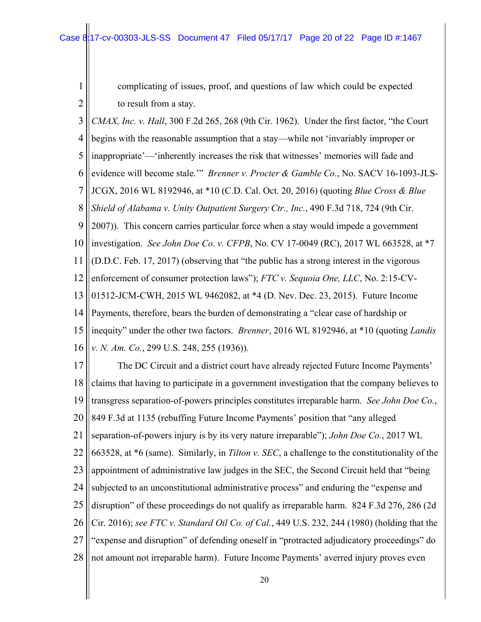1

2

complicating of issues, proof, and questions of law which could be expected to result from a stay.

3 4 5 6 7 8 9 10 11 12 13 14 15 16 *CMAX, Inc. v. Hall*, 300 F.2d 265, 268 (9th Cir. 1962). Under the first factor, "the Court begins with the reasonable assumption that a stay—while not 'invariably improper or inappropriate'—'inherently increases the risk that witnesses' memories will fade and evidence will become stale.'" *Brenner v. Procter & Gamble Co.*, No. SACV 16-1093-JLS-JCGX, 2016 WL 8192946, at \*10 (C.D. Cal. Oct. 20, 2016) (quoting *Blue Cross & Blue Shield of Alabama v. Unity Outpatient Surgery Ctr., Inc.*, 490 F.3d 718, 724 (9th Cir. 2007)). This concern carries particular force when a stay would impede a government investigation. *See John Doe Co. v. CFPB*, No. CV 17-0049 (RC), 2017 WL 663528, at \*7 (D.D.C. Feb. 17, 2017) (observing that "the public has a strong interest in the vigorous enforcement of consumer protection laws"); *FTC v. Sequoia One, LLC*, No. 2:15-CV-01512-JCM-CWH, 2015 WL 9462082, at \*4 (D. Nev. Dec. 23, 2015). Future Income Payments, therefore, bears the burden of demonstrating a "clear case of hardship or inequity" under the other two factors. *Brenner*, 2016 WL 8192946, at \*10 (quoting *Landis v. N. Am. Co.*, 299 U.S. 248, 255 (1936)).

17 18 19 20 21 22 23 24 25 26 27 28 The DC Circuit and a district court have already rejected Future Income Payments' claims that having to participate in a government investigation that the company believes to transgress separation-of-powers principles constitutes irreparable harm. *See John Doe Co.*, 849 F.3d at 1135 (rebuffing Future Income Payments' position that "any alleged separation-of-powers injury is by its very nature irreparable"); *John Doe Co.*, 2017 WL 663528, at \*6 (same). Similarly, in *Tilton v. SEC*, a challenge to the constitutionality of the appointment of administrative law judges in the SEC, the Second Circuit held that "being subjected to an unconstitutional administrative process" and enduring the "expense and disruption" of these proceedings do not qualify as irreparable harm. 824 F.3d 276, 286 (2d Cir. 2016); *see FTC v. Standard Oil Co. of Cal.*, 449 U.S. 232, 244 (1980) (holding that the "expense and disruption" of defending oneself in "protracted adjudicatory proceedings" do not amount not irreparable harm). Future Income Payments' averred injury proves even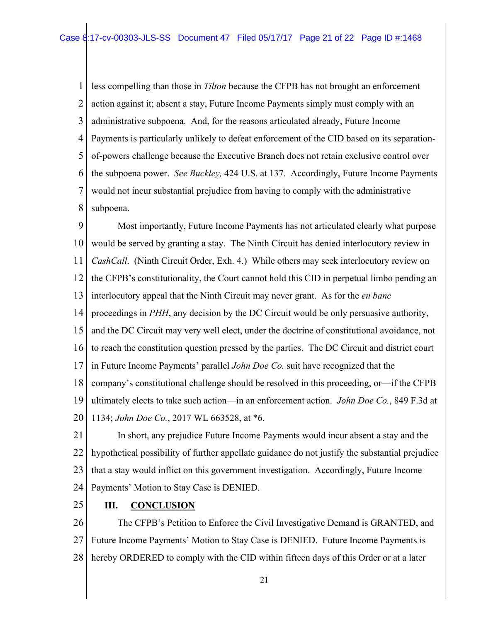1 2 3 4 5 6 7 8 less compelling than those in *Tilton* because the CFPB has not brought an enforcement action against it; absent a stay, Future Income Payments simply must comply with an administrative subpoena. And, for the reasons articulated already, Future Income Payments is particularly unlikely to defeat enforcement of the CID based on its separationof-powers challenge because the Executive Branch does not retain exclusive control over the subpoena power. *See Buckley,* 424 U.S. at 137. Accordingly, Future Income Payments would not incur substantial prejudice from having to comply with the administrative subpoena.

9 10 11 12 13 14 15 16 17 18 19 20 Most importantly, Future Income Payments has not articulated clearly what purpose would be served by granting a stay. The Ninth Circuit has denied interlocutory review in *CashCall*. (Ninth Circuit Order, Exh. 4.) While others may seek interlocutory review on the CFPB's constitutionality, the Court cannot hold this CID in perpetual limbo pending an interlocutory appeal that the Ninth Circuit may never grant. As for the *en banc*  proceedings in *PHH*, any decision by the DC Circuit would be only persuasive authority, and the DC Circuit may very well elect, under the doctrine of constitutional avoidance, not to reach the constitution question pressed by the parties. The DC Circuit and district court in Future Income Payments' parallel *John Doe Co.* suit have recognized that the company's constitutional challenge should be resolved in this proceeding, or—if the CFPB ultimately elects to take such action—in an enforcement action. *John Doe Co.*, 849 F.3d at 1134; *John Doe Co.*, 2017 WL 663528, at \*6.

21 22 23 24 In short, any prejudice Future Income Payments would incur absent a stay and the hypothetical possibility of further appellate guidance do not justify the substantial prejudice that a stay would inflict on this government investigation. Accordingly, Future Income Payments' Motion to Stay Case is DENIED.

25 **III. CONCLUSION**

28

26 27 The CFPB's Petition to Enforce the Civil Investigative Demand is GRANTED, and Future Income Payments' Motion to Stay Case is DENIED. Future Income Payments is

21

hereby ORDERED to comply with the CID within fifteen days of this Order or at a later